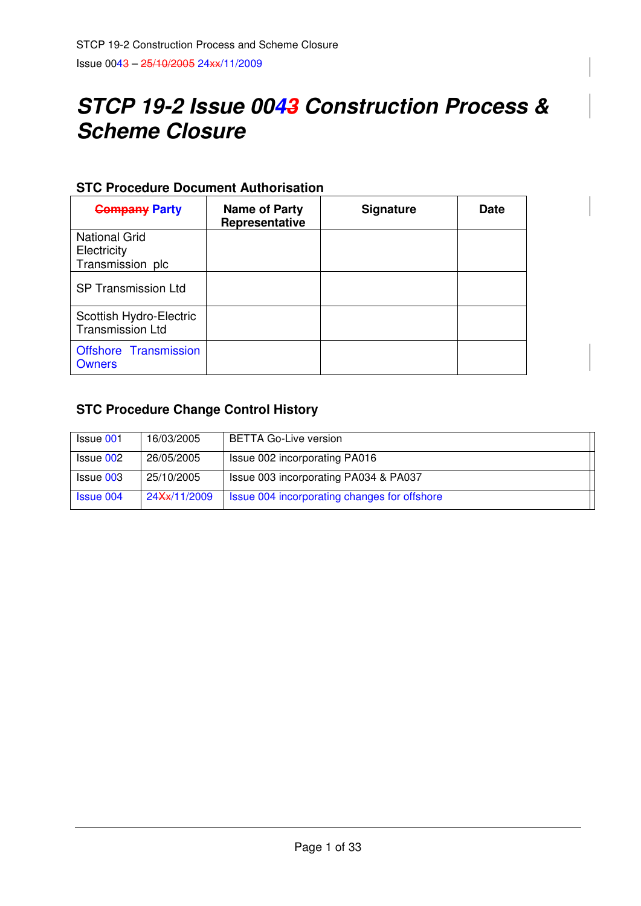# **STCP 19-2 Issue 0043 Construction Process & Scheme Closure**

## **STC Procedure Document Authorisation**

| <b>Company Party</b>                               | Name of Party<br>Representative | <b>Signature</b> | <b>Date</b> |
|----------------------------------------------------|---------------------------------|------------------|-------------|
| <b>National Grid</b>                               |                                 |                  |             |
| Electricity                                        |                                 |                  |             |
| Transmission plc                                   |                                 |                  |             |
| <b>SP Transmission Ltd</b>                         |                                 |                  |             |
| Scottish Hydro-Electric<br><b>Transmission Ltd</b> |                                 |                  |             |
| Offshore Transmission<br><b>Owners</b>             |                                 |                  |             |

## **STC Procedure Change Control History**

| <b>Issue 001</b> | 16/03/2005   | <b>BETTA Go-Live version</b>                 |
|------------------|--------------|----------------------------------------------|
| Issue 002        | 26/05/2005   | Issue 002 incorporating PA016                |
| Issue 003        | 25/10/2005   | Issue 003 incorporating PA034 & PA037        |
| <b>Issue 004</b> | 24Xx/11/2009 | Issue 004 incorporating changes for offshore |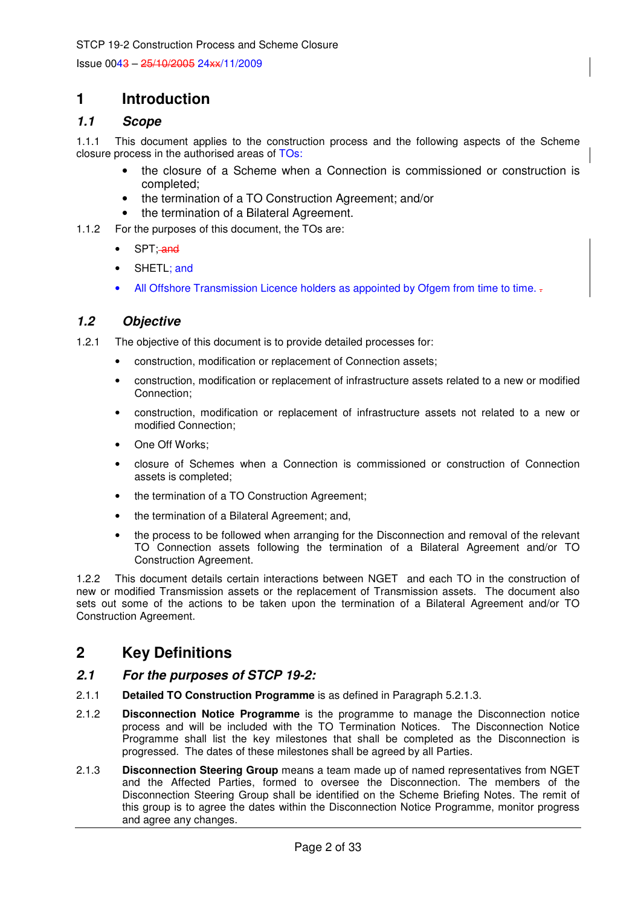Issue 0043 – 25/10/2005 24xx/11/2009

## **1 Introduction**

## **1.1 Scope**

1.1.1 This document applies to the construction process and the following aspects of the Scheme closure process in the authorised areas of TOs:

- the closure of a Scheme when a Connection is commissioned or construction is completed;
- the termination of a TO Construction Agreement; and/or
- the termination of a Bilateral Agreement.
- 1.1.2 For the purposes of this document, the TOs are:
	- SPT; and
	- SHETL; and
	- All Offshore Transmission Licence holders as appointed by Ofgem from time to time. -

## **1.2 Objective**

- 1.2.1 The objective of this document is to provide detailed processes for:
	- construction, modification or replacement of Connection assets;
		- construction, modification or replacement of infrastructure assets related to a new or modified Connection;
		- construction, modification or replacement of infrastructure assets not related to a new or modified Connection;
		- One Off Works;
	- closure of Schemes when a Connection is commissioned or construction of Connection assets is completed;
	- the termination of a TO Construction Agreement;
	- the termination of a Bilateral Agreement; and,
	- the process to be followed when arranging for the Disconnection and removal of the relevant TO Connection assets following the termination of a Bilateral Agreement and/or TO Construction Agreement.

1.2.2 This document details certain interactions between NGET and each TO in the construction of new or modified Transmission assets or the replacement of Transmission assets. The document also sets out some of the actions to be taken upon the termination of a Bilateral Agreement and/or TO Construction Agreement.

## **2 Key Definitions**

#### **2.1 For the purposes of STCP 19-2:**

- 2.1.1 **Detailed TO Construction Programme** is as defined in Paragraph 5.2.1.3.
- 2.1.2 **Disconnection Notice Programme** is the programme to manage the Disconnection notice process and will be included with the TO Termination Notices. The Disconnection Notice Programme shall list the key milestones that shall be completed as the Disconnection is progressed. The dates of these milestones shall be agreed by all Parties.
- 2.1.3 **Disconnection Steering Group** means a team made up of named representatives from NGET and the Affected Parties, formed to oversee the Disconnection. The members of the Disconnection Steering Group shall be identified on the Scheme Briefing Notes. The remit of this group is to agree the dates within the Disconnection Notice Programme, monitor progress and agree any changes.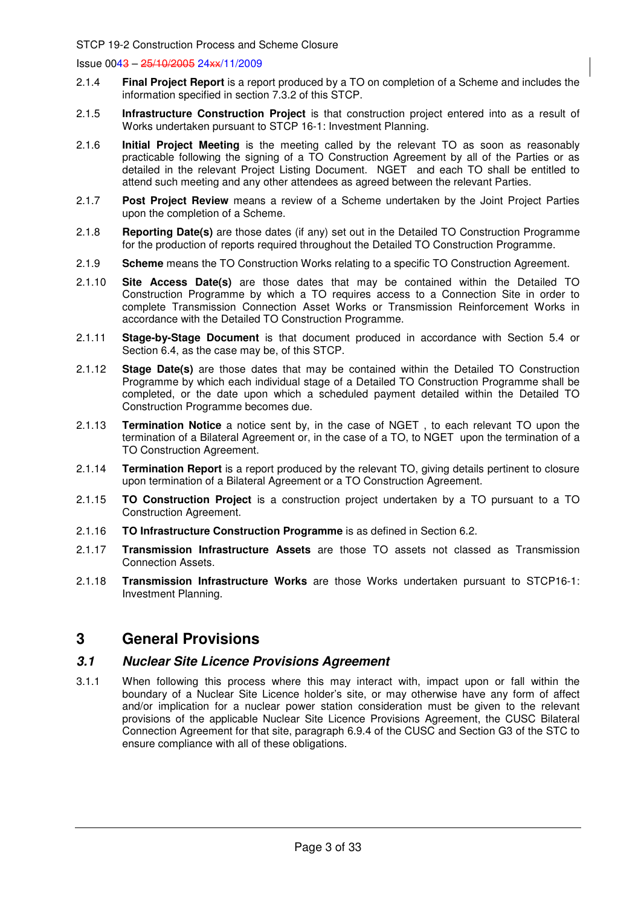- 2.1.4 **Final Project Report** is a report produced by a TO on completion of a Scheme and includes the information specified in section 7.3.2 of this STCP.
- 2.1.5 **Infrastructure Construction Project** is that construction project entered into as a result of Works undertaken pursuant to STCP 16-1: Investment Planning.
- 2.1.6 **Initial Project Meeting** is the meeting called by the relevant TO as soon as reasonably practicable following the signing of a TO Construction Agreement by all of the Parties or as detailed in the relevant Project Listing Document. NGET and each TO shall be entitled to attend such meeting and any other attendees as agreed between the relevant Parties.
- 2.1.7 **Post Project Review** means a review of a Scheme undertaken by the Joint Project Parties upon the completion of a Scheme.
- 2.1.8 **Reporting Date(s)** are those dates (if any) set out in the Detailed TO Construction Programme for the production of reports required throughout the Detailed TO Construction Programme.
- 2.1.9 **Scheme** means the TO Construction Works relating to a specific TO Construction Agreement.
- 2.1.10 **Site Access Date(s)** are those dates that may be contained within the Detailed TO Construction Programme by which a TO requires access to a Connection Site in order to complete Transmission Connection Asset Works or Transmission Reinforcement Works in accordance with the Detailed TO Construction Programme.
- 2.1.11 **Stage-by-Stage Document** is that document produced in accordance with Section 5.4 or Section 6.4, as the case may be, of this STCP.
- 2.1.12 **Stage Date(s)** are those dates that may be contained within the Detailed TO Construction Programme by which each individual stage of a Detailed TO Construction Programme shall be completed, or the date upon which a scheduled payment detailed within the Detailed TO Construction Programme becomes due.
- 2.1.13 **Termination Notice** a notice sent by, in the case of NGET , to each relevant TO upon the termination of a Bilateral Agreement or, in the case of a TO, to NGET upon the termination of a TO Construction Agreement.
- 2.1.14 **Termination Report** is a report produced by the relevant TO, giving details pertinent to closure upon termination of a Bilateral Agreement or a TO Construction Agreement.
- 2.1.15 **TO Construction Project** is a construction project undertaken by a TO pursuant to a TO Construction Agreement.
- 2.1.16 **TO Infrastructure Construction Programme** is as defined in Section 6.2.
- 2.1.17 **Transmission Infrastructure Assets** are those TO assets not classed as Transmission Connection Assets.
- 2.1.18 **Transmission Infrastructure Works** are those Works undertaken pursuant to STCP16-1: Investment Planning.

## **3 General Provisions**

#### **3.1 Nuclear Site Licence Provisions Agreement**

3.1.1 When following this process where this may interact with, impact upon or fall within the boundary of a Nuclear Site Licence holder's site, or may otherwise have any form of affect and/or implication for a nuclear power station consideration must be given to the relevant provisions of the applicable Nuclear Site Licence Provisions Agreement, the CUSC Bilateral Connection Agreement for that site, paragraph 6.9.4 of the CUSC and Section G3 of the STC to ensure compliance with all of these obligations.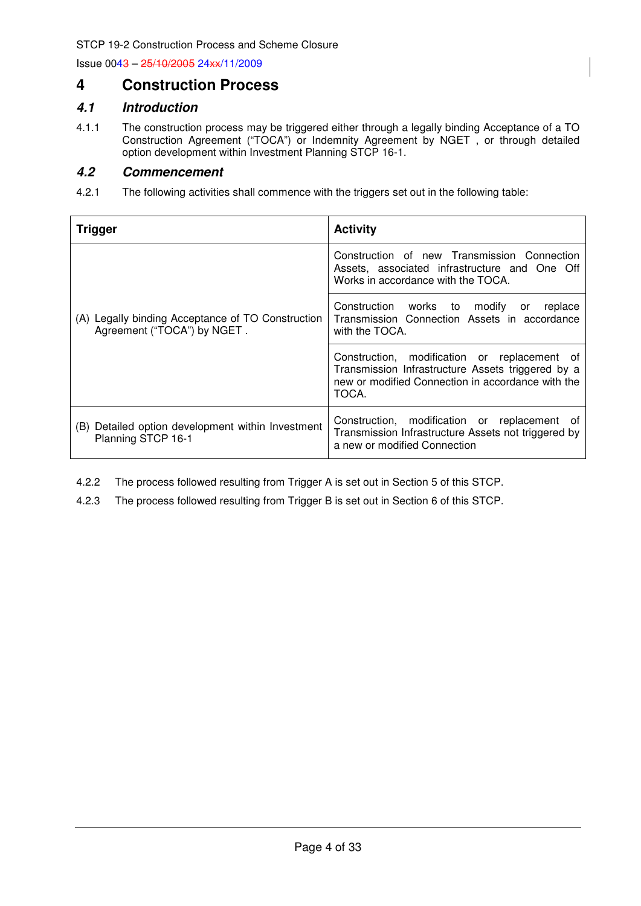## **4 Construction Process**

## **4.1 Introduction**

4.1.1 The construction process may be triggered either through a legally binding Acceptance of a TO Construction Agreement ("TOCA") or Indemnity Agreement by NGET , or through detailed option development within Investment Planning STCP 16-1.

## **4.2 Commencement**

4.2.1 The following activities shall commence with the triggers set out in the following table:

| <b>Trigger</b>                                                                   | <b>Activity</b>                                                                                                                                                 |
|----------------------------------------------------------------------------------|-----------------------------------------------------------------------------------------------------------------------------------------------------------------|
|                                                                                  | Construction of new Transmission Connection<br>Assets, associated infrastructure and One Off<br>Works in accordance with the TOCA.                              |
| (A) Legally binding Acceptance of TO Construction<br>Agreement ("TOCA") by NGET. | Construction works to modify or replace<br>Transmission Connection Assets in accordance<br>with the TOCA.                                                       |
|                                                                                  | Construction, modification or replacement of<br>Transmission Infrastructure Assets triggered by a<br>new or modified Connection in accordance with the<br>TOCA. |
| (B) Detailed option development within Investment<br>Planning STCP 16-1          | Construction, modification or replacement of<br>Transmission Infrastructure Assets not triggered by<br>a new or modified Connection                             |

- 4.2.2 The process followed resulting from Trigger A is set out in Section 5 of this STCP.
- 4.2.3 The process followed resulting from Trigger B is set out in Section 6 of this STCP.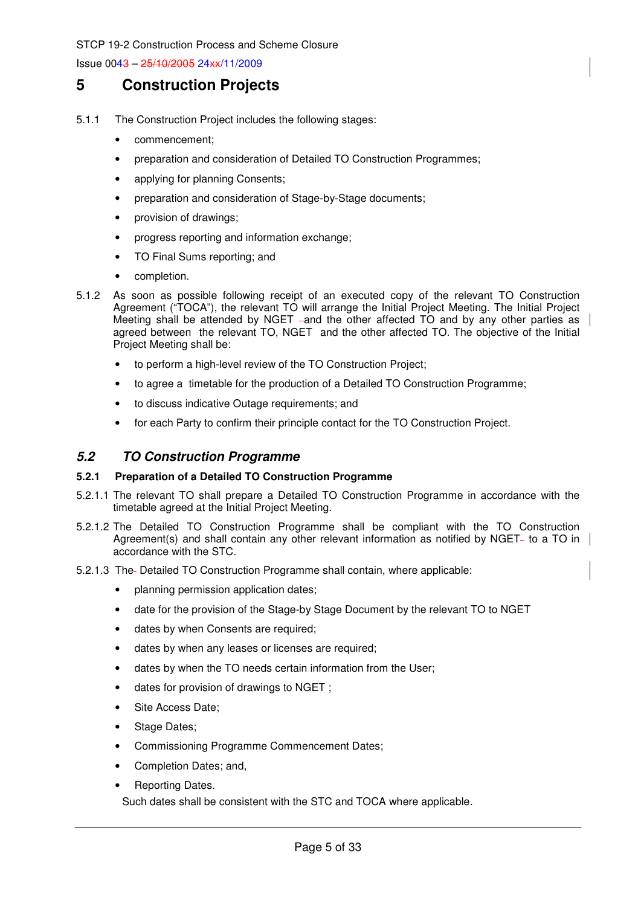Issue 0043 – 25/10/2005 24xx/11/2009

## **5 Construction Projects**

- 5.1.1 The Construction Project includes the following stages:
	- commencement;
	- preparation and consideration of Detailed TO Construction Programmes;
	- applying for planning Consents;
	- preparation and consideration of Stage-by-Stage documents;
	- provision of drawings;
	- progress reporting and information exchange;
	- TO Final Sums reporting; and
	- completion.
- 5.1.2 As soon as possible following receipt of an executed copy of the relevant TO Construction Agreement ("TOCA"), the relevant TO will arrange the Initial Project Meeting. The Initial Project Meeting shall be attended by NGET –and the other affected  $\overline{10}$  and by any other parties as agreed between the relevant TO, NGET and the other affected TO. The objective of the Initial Project Meeting shall be:
	- to perform a high-level review of the TO Construction Project;
	- to agree a timetable for the production of a Detailed TO Construction Programme;
	- to discuss indicative Outage requirements; and
	- for each Party to confirm their principle contact for the TO Construction Project.

## **5.2 TO Construction Programme**

#### **5.2.1 Preparation of a Detailed TO Construction Programme**

- 5.2.1.1 The relevant TO shall prepare a Detailed TO Construction Programme in accordance with the timetable agreed at the Initial Project Meeting.
- 5.2.1.2 The Detailed TO Construction Programme shall be compliant with the TO Construction Agreement(s) and shall contain any other relevant information as notified by NGET- to a TO in  $\parallel$ accordance with the STC.
- 5.2.1.3 The- Detailed TO Construction Programme shall contain, where applicable:
	- planning permission application dates;
	- date for the provision of the Stage-by Stage Document by the relevant TO to NGET
	- dates by when Consents are required;
	- dates by when any leases or licenses are required;
	- dates by when the TO needs certain information from the User;
	- dates for provision of drawings to NGET ;
	- Site Access Date;
	- Stage Dates;
	- Commissioning Programme Commencement Dates;
	- Completion Dates; and,
	- Reporting Dates.

Such dates shall be consistent with the STC and TOCA where applicable.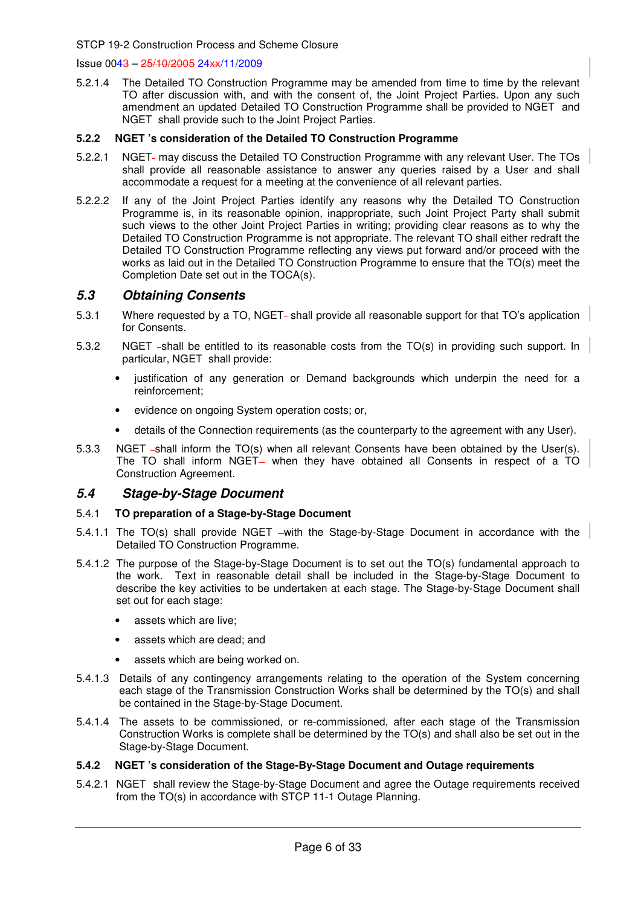#### Issue 0043 – 25/10/2005 24xx/11/2009

5.2.1.4 The Detailed TO Construction Programme may be amended from time to time by the relevant TO after discussion with, and with the consent of, the Joint Project Parties. Upon any such amendment an updated Detailed TO Construction Programme shall be provided to NGET and NGET shall provide such to the Joint Project Parties.

#### **5.2.2 NGET 's consideration of the Detailed TO Construction Programme**

- 5.2.2.1 NGET- may discuss the Detailed TO Construction Programme with any relevant User. The TOs shall provide all reasonable assistance to answer any queries raised by a User and shall accommodate a request for a meeting at the convenience of all relevant parties.
- 5.2.2.2 If any of the Joint Project Parties identify any reasons why the Detailed TO Construction Programme is, in its reasonable opinion, inappropriate, such Joint Project Party shall submit such views to the other Joint Project Parties in writing; providing clear reasons as to why the Detailed TO Construction Programme is not appropriate. The relevant TO shall either redraft the Detailed TO Construction Programme reflecting any views put forward and/or proceed with the works as laid out in the Detailed TO Construction Programme to ensure that the TO(s) meet the Completion Date set out in the TOCA(s).

## **5.3 Obtaining Consents**

- 5.3.1 Where requested by a TO, NGET- shall provide all reasonable support for that TO's application for Consents.
- 5.3.2 NGET -shall be entitled to its reasonable costs from the TO(s) in providing such support. In particular, NGET shall provide:
	- justification of any generation or Demand backgrounds which underpin the need for a reinforcement;
	- evidence on ongoing System operation costs; or,
	- details of the Connection requirements (as the counterparty to the agreement with any User).
- 5.3.3 NGET -shall inform the TO(s) when all relevant Consents have been obtained by the User(s). The TO shall inform NGET- when they have obtained all Consents in respect of a TO Construction Agreement.

#### **5.4 Stage-by-Stage Document**

#### 5.4.1 **TO preparation of a Stage-by-Stage Document**

- 5.4.1.1 The TO(s) shall provide NGET with the Stage-by-Stage Document in accordance with the Detailed TO Construction Programme.
- 5.4.1.2 The purpose of the Stage-by-Stage Document is to set out the TO(s) fundamental approach to the work. Text in reasonable detail shall be included in the Stage-by-Stage Document to describe the key activities to be undertaken at each stage. The Stage-by-Stage Document shall set out for each stage:
	- assets which are live;
	- assets which are dead; and
	- assets which are being worked on.
- 5.4.1.3 Details of any contingency arrangements relating to the operation of the System concerning each stage of the Transmission Construction Works shall be determined by the TO(s) and shall be contained in the Stage-by-Stage Document.
- 5.4.1.4 The assets to be commissioned, or re-commissioned, after each stage of the Transmission Construction Works is complete shall be determined by the TO(s) and shall also be set out in the Stage-by-Stage Document.

#### **5.4.2 NGET 's consideration of the Stage-By-Stage Document and Outage requirements**

5.4.2.1 NGET shall review the Stage-by-Stage Document and agree the Outage requirements received from the TO(s) in accordance with STCP 11-1 Outage Planning.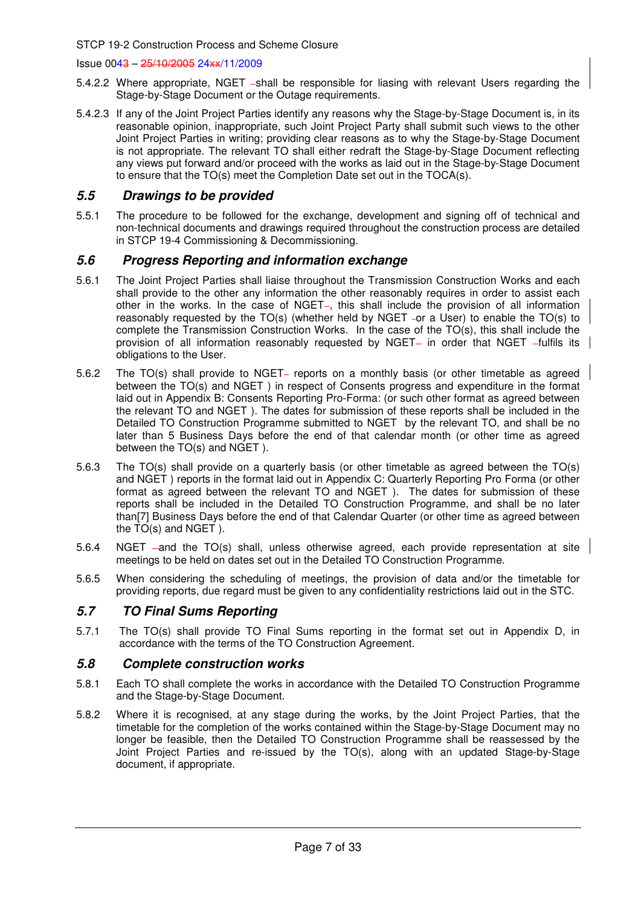#### Issue 0043 – 25/10/2005 24xx/11/2009

- 5.4.2.2 Where appropriate, NGET -shall be responsible for liasing with relevant Users regarding the Stage-by-Stage Document or the Outage requirements.
- 5.4.2.3 If any of the Joint Project Parties identify any reasons why the Stage-by-Stage Document is, in its reasonable opinion, inappropriate, such Joint Project Party shall submit such views to the other Joint Project Parties in writing; providing clear reasons as to why the Stage-by-Stage Document is not appropriate. The relevant TO shall either redraft the Stage-by-Stage Document reflecting any views put forward and/or proceed with the works as laid out in the Stage-by-Stage Document to ensure that the TO(s) meet the Completion Date set out in the TOCA(s).

## **5.5 Drawings to be provided**

5.5.1 The procedure to be followed for the exchange, development and signing off of technical and non-technical documents and drawings required throughout the construction process are detailed in STCP 19-4 Commissioning & Decommissioning.

### **5.6 Progress Reporting and information exchange**

- 5.6.1 The Joint Project Parties shall liaise throughout the Transmission Construction Works and each shall provide to the other any information the other reasonably requires in order to assist each other in the works. In the case of NGET-, this shall include the provision of all information reasonably requested by the TO(s) (whether held by NGET -or a User) to enable the TO(s) to complete the Transmission Construction Works. In the case of the TO(s), this shall include the provision of all information reasonably requested by NGET- in order that NGET -fulfils its obligations to the User.
- 5.6.2 The TO(s) shall provide to NGET– reports on a monthly basis (or other timetable as agreed between the TO(s) and NGET ) in respect of Consents progress and expenditure in the format laid out in Appendix B: Consents Reporting Pro-Forma: (or such other format as agreed between the relevant TO and NGET ). The dates for submission of these reports shall be included in the Detailed TO Construction Programme submitted to NGET by the relevant TO, and shall be no later than 5 Business Days before the end of that calendar month (or other time as agreed between the TO(s) and NGET ).
- 5.6.3 The TO(s) shall provide on a quarterly basis (or other timetable as agreed between the TO(s) and NGET ) reports in the format laid out in Appendix C: Quarterly Reporting Pro Forma (or other format as agreed between the relevant TO and NGET ). The dates for submission of these reports shall be included in the Detailed TO Construction Programme, and shall be no later than[7] Business Days before the end of that Calendar Quarter (or other time as agreed between the TO(s) and NGET ).
- 5.6.4 NGET –and the TO(s) shall, unless otherwise agreed, each provide representation at site meetings to be held on dates set out in the Detailed TO Construction Programme.
- 5.6.5 When considering the scheduling of meetings, the provision of data and/or the timetable for providing reports, due regard must be given to any confidentiality restrictions laid out in the STC.

## **5.7 TO Final Sums Reporting**

5.7.1 The TO(s) shall provide TO Final Sums reporting in the format set out in Appendix D, in accordance with the terms of the TO Construction Agreement.

## **5.8 Complete construction works**

- 5.8.1 Each TO shall complete the works in accordance with the Detailed TO Construction Programme and the Stage-by-Stage Document.
- 5.8.2 Where it is recognised, at any stage during the works, by the Joint Project Parties, that the timetable for the completion of the works contained within the Stage-by-Stage Document may no longer be feasible, then the Detailed TO Construction Programme shall be reassessed by the Joint Project Parties and re-issued by the TO(s), along with an updated Stage-by-Stage document, if appropriate.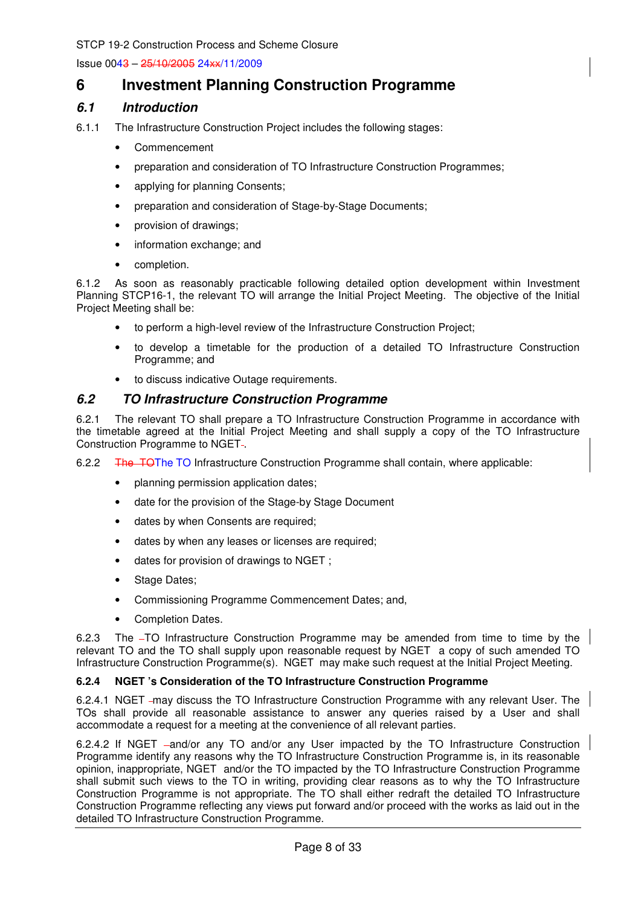## **6 Investment Planning Construction Programme**

## **6.1 Introduction**

- 6.1.1 The Infrastructure Construction Project includes the following stages:
	- Commencement
	- preparation and consideration of TO Infrastructure Construction Programmes:
	- applying for planning Consents;
	- preparation and consideration of Stage-by-Stage Documents;
	- provision of drawings;
	- information exchange; and
	- completion.

6.1.2 As soon as reasonably practicable following detailed option development within Investment Planning STCP16-1, the relevant TO will arrange the Initial Project Meeting. The objective of the Initial Project Meeting shall be:

- to perform a high-level review of the Infrastructure Construction Project;
- to develop a timetable for the production of a detailed TO Infrastructure Construction Programme; and
- to discuss indicative Outage requirements.

## **6.2 TO Infrastructure Construction Programme**

6.2.1 The relevant TO shall prepare a TO Infrastructure Construction Programme in accordance with the timetable agreed at the Initial Project Meeting and shall supply a copy of the TO Infrastructure Construction Programme to NGET-.

6.2.2 The TOThe TO Infrastructure Construction Programme shall contain, where applicable:

- planning permission application dates;
- date for the provision of the Stage-by Stage Document
- dates by when Consents are required;
- dates by when any leases or licenses are required:
- dates for provision of drawings to NGET ;
- Stage Dates;
- Commissioning Programme Commencement Dates; and,
- Completion Dates.

6.2.3 The -TO Infrastructure Construction Programme may be amended from time to time by the relevant TO and the TO shall supply upon reasonable request by NGET a copy of such amended TO Infrastructure Construction Programme(s). NGET may make such request at the Initial Project Meeting.

#### **6.2.4 NGET 's Consideration of the TO Infrastructure Construction Programme**

6.2.4.1 NGET may discuss the TO Infrastructure Construction Programme with any relevant User. The TOs shall provide all reasonable assistance to answer any queries raised by a User and shall accommodate a request for a meeting at the convenience of all relevant parties.

6.2.4.2 If NGET -and/or any TO and/or any User impacted by the TO Infrastructure Construction Programme identify any reasons why the TO Infrastructure Construction Programme is, in its reasonable opinion, inappropriate, NGET and/or the TO impacted by the TO Infrastructure Construction Programme shall submit such views to the TO in writing, providing clear reasons as to why the TO Infrastructure Construction Programme is not appropriate. The TO shall either redraft the detailed TO Infrastructure Construction Programme reflecting any views put forward and/or proceed with the works as laid out in the detailed TO Infrastructure Construction Programme.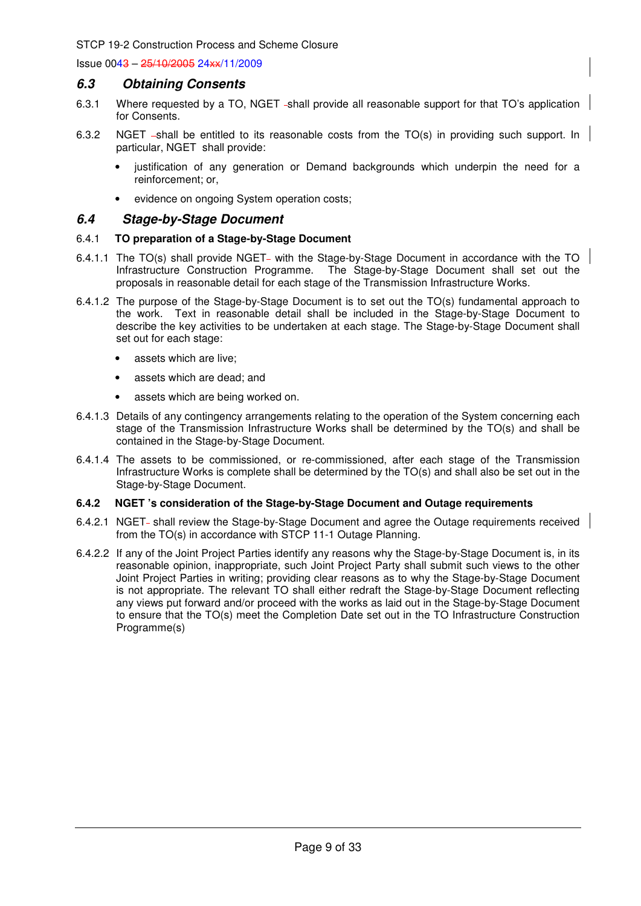Issue 0043 – 25/10/2005 24xx/11/2009

#### **6.3 Obtaining Consents**

- 6.3.1 Where requested by a TO, NGET -shall provide all reasonable support for that TO's application for Consents.
- 6.3.2 NGET -shall be entitled to its reasonable costs from the TO(s) in providing such support. In particular, NGET shall provide:
	- justification of any generation or Demand backgrounds which underpin the need for a reinforcement; or,
	- evidence on ongoing System operation costs;

#### **6.4 Stage-by-Stage Document**

#### 6.4.1 **TO preparation of a Stage-by-Stage Document**

- 6.4.1.1 The TO(s) shall provide NGET- with the Stage-by-Stage Document in accordance with the TO Infrastructure Construction Programme. The Stage-by-Stage Document shall set out the proposals in reasonable detail for each stage of the Transmission Infrastructure Works.
- 6.4.1.2 The purpose of the Stage-by-Stage Document is to set out the TO(s) fundamental approach to the work. Text in reasonable detail shall be included in the Stage-by-Stage Document to describe the key activities to be undertaken at each stage. The Stage-by-Stage Document shall set out for each stage:
	- assets which are live;
	- assets which are dead; and
	- assets which are being worked on.
- 6.4.1.3 Details of any contingency arrangements relating to the operation of the System concerning each stage of the Transmission Infrastructure Works shall be determined by the TO(s) and shall be contained in the Stage-by-Stage Document.
- 6.4.1.4 The assets to be commissioned, or re-commissioned, after each stage of the Transmission Infrastructure Works is complete shall be determined by the TO(s) and shall also be set out in the Stage-by-Stage Document.

#### **6.4.2 NGET 's consideration of the Stage-by-Stage Document and Outage requirements**

- 6.4.2.1 NGET- shall review the Stage-by-Stage Document and agree the Outage requirements received from the TO(s) in accordance with STCP 11-1 Outage Planning.
- 6.4.2.2 If any of the Joint Project Parties identify any reasons why the Stage-by-Stage Document is, in its reasonable opinion, inappropriate, such Joint Project Party shall submit such views to the other Joint Project Parties in writing; providing clear reasons as to why the Stage-by-Stage Document is not appropriate. The relevant TO shall either redraft the Stage-by-Stage Document reflecting any views put forward and/or proceed with the works as laid out in the Stage-by-Stage Document to ensure that the TO(s) meet the Completion Date set out in the TO Infrastructure Construction Programme(s)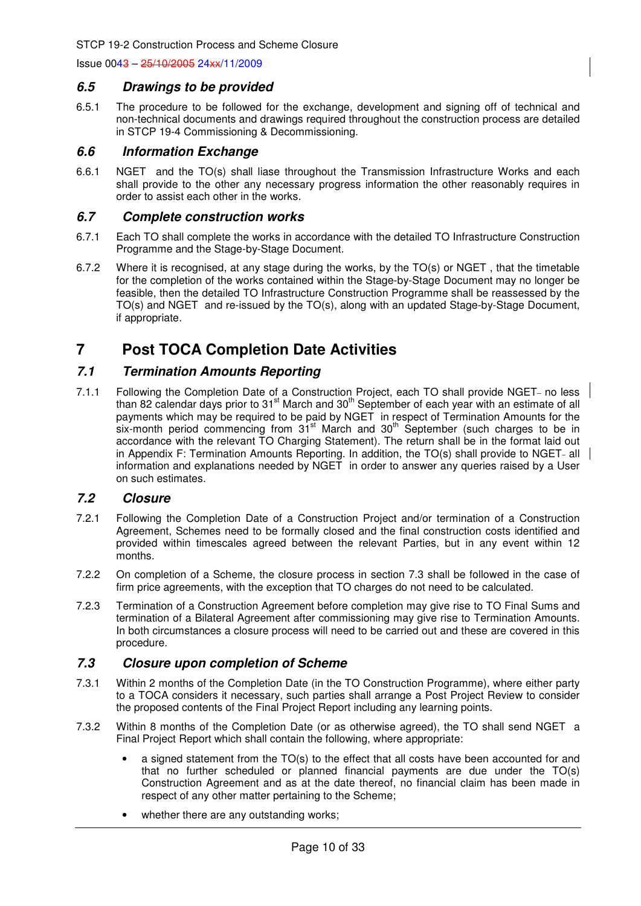### **6.5 Drawings to be provided**

6.5.1 The procedure to be followed for the exchange, development and signing off of technical and non-technical documents and drawings required throughout the construction process are detailed in STCP 19-4 Commissioning & Decommissioning.

### **6.6 Information Exchange**

6.6.1 NGET and the TO(s) shall liase throughout the Transmission Infrastructure Works and each shall provide to the other any necessary progress information the other reasonably requires in order to assist each other in the works.

### **6.7 Complete construction works**

- 6.7.1 Each TO shall complete the works in accordance with the detailed TO Infrastructure Construction Programme and the Stage-by-Stage Document.
- 6.7.2 Where it is recognised, at any stage during the works, by the TO(s) or NGET , that the timetable for the completion of the works contained within the Stage-by-Stage Document may no longer be feasible, then the detailed TO Infrastructure Construction Programme shall be reassessed by the TO(s) and NGET and re-issued by the TO(s), along with an updated Stage-by-Stage Document, if appropriate.

## **7 Post TOCA Completion Date Activities**

## **7.1 Termination Amounts Reporting**

7.1.1 Following the Completion Date of a Construction Project, each TO shall provide NGET- no less than 82 calendar days prior to 31<sup>st</sup> March and 30<sup>th</sup> September of each year with an estimate of all payments which may be required to be paid by NGET in respect of Termination Amounts for the six-month period commencing from 31<sup>st</sup> March and 30<sup>th</sup> September (such charges to be in accordance with the relevant TO Charging Statement). The return shall be in the format laid out in Appendix F: Termination Amounts Reporting. In addition, the TO(s) shall provide to NGET- all information and explanations needed by NGET in order to answer any queries raised by a User on such estimates.

## **7.2 Closure**

- 7.2.1 Following the Completion Date of a Construction Project and/or termination of a Construction Agreement, Schemes need to be formally closed and the final construction costs identified and provided within timescales agreed between the relevant Parties, but in any event within 12 months.
- 7.2.2 On completion of a Scheme, the closure process in section 7.3 shall be followed in the case of firm price agreements, with the exception that TO charges do not need to be calculated.
- 7.2.3 Termination of a Construction Agreement before completion may give rise to TO Final Sums and termination of a Bilateral Agreement after commissioning may give rise to Termination Amounts. In both circumstances a closure process will need to be carried out and these are covered in this procedure.

## **7.3 Closure upon completion of Scheme**

- 7.3.1 Within 2 months of the Completion Date (in the TO Construction Programme), where either party to a TOCA considers it necessary, such parties shall arrange a Post Project Review to consider the proposed contents of the Final Project Report including any learning points.
- 7.3.2 Within 8 months of the Completion Date (or as otherwise agreed), the TO shall send NGET a Final Project Report which shall contain the following, where appropriate:
	- a signed statement from the TO(s) to the effect that all costs have been accounted for and that no further scheduled or planned financial payments are due under the TO(s) Construction Agreement and as at the date thereof, no financial claim has been made in respect of any other matter pertaining to the Scheme;
	- whether there are any outstanding works;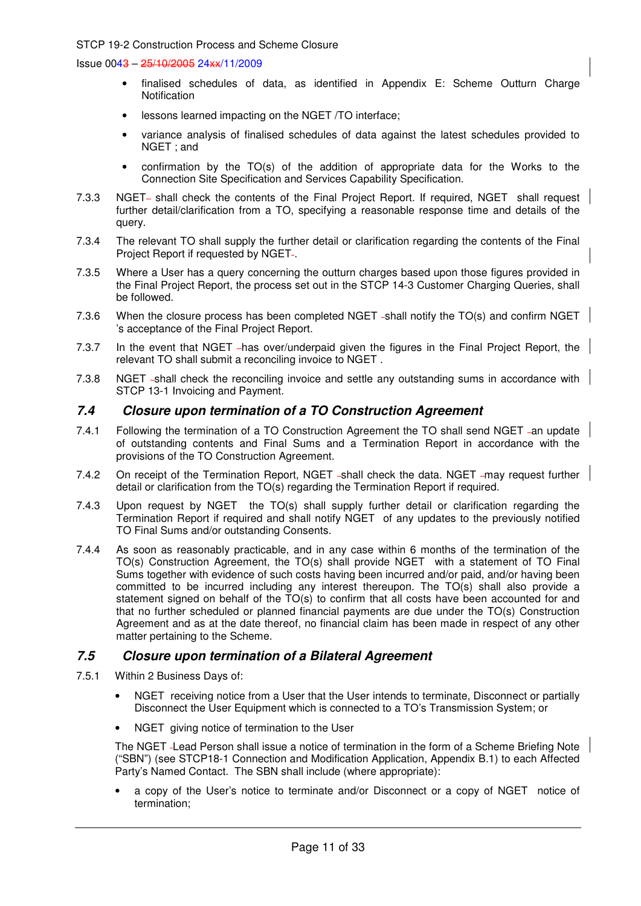Issue 0043 – 25/10/2005 24xx/11/2009

- finalised schedules of data, as identified in Appendix E: Scheme Outturn Charge **Notification**
- lessons learned impacting on the NGET /TO interface;
- variance analysis of finalised schedules of data against the latest schedules provided to NGET ; and
- confirmation by the TO(s) of the addition of appropriate data for the Works to the Connection Site Specification and Services Capability Specification.
- 7.3.3 NGET- shall check the contents of the Final Project Report. If required, NGET shall request further detail/clarification from a TO, specifying a reasonable response time and details of the query.
- 7.3.4 The relevant TO shall supply the further detail or clarification regarding the contents of the Final Project Report if requested by NGET-.
- 7.3.5 Where a User has a query concerning the outturn charges based upon those figures provided in the Final Project Report, the process set out in the STCP 14-3 Customer Charging Queries, shall be followed.
- 7.3.6 When the closure process has been completed NGET -shall notify the TO(s) and confirm NGET 's acceptance of the Final Project Report.
- 7.3.7 In the event that NGET has over/underpaid given the figures in the Final Project Report, the relevant TO shall submit a reconciling invoice to NGET .
- 7.3.8 NGET -shall check the reconciling invoice and settle any outstanding sums in accordance with STCP 13-1 Invoicing and Payment.

### **7.4 Closure upon termination of a TO Construction Agreement**

- 7.4.1 Following the termination of a TO Construction Agreement the TO shall send NGET -an update of outstanding contents and Final Sums and a Termination Report in accordance with the provisions of the TO Construction Agreement.
- 7.4.2 On receipt of the Termination Report, NGET -shall check the data. NGET -may request further detail or clarification from the TO(s) regarding the Termination Report if required.
- 7.4.3 Upon request by NGET the TO(s) shall supply further detail or clarification regarding the Termination Report if required and shall notify NGET of any updates to the previously notified TO Final Sums and/or outstanding Consents.
- 7.4.4 As soon as reasonably practicable, and in any case within 6 months of the termination of the TO(s) Construction Agreement, the TO(s) shall provide NGET with a statement of TO Final Sums together with evidence of such costs having been incurred and/or paid, and/or having been committed to be incurred including any interest thereupon. The TO(s) shall also provide a statement signed on behalf of the  $TO(s)$  to confirm that all costs have been accounted for and that no further scheduled or planned financial payments are due under the TO(s) Construction Agreement and as at the date thereof, no financial claim has been made in respect of any other matter pertaining to the Scheme.

## **7.5 Closure upon termination of a Bilateral Agreement**

- 7.5.1 Within 2 Business Days of:
	- NGET receiving notice from a User that the User intends to terminate, Disconnect or partially Disconnect the User Equipment which is connected to a TO's Transmission System; or
	- NGET giving notice of termination to the User

The NGET Lead Person shall issue a notice of termination in the form of a Scheme Briefing Note ("SBN") (see STCP18-1 Connection and Modification Application, Appendix B.1) to each Affected Party's Named Contact. The SBN shall include (where appropriate):

• a copy of the User's notice to terminate and/or Disconnect or a copy of NGET notice of termination;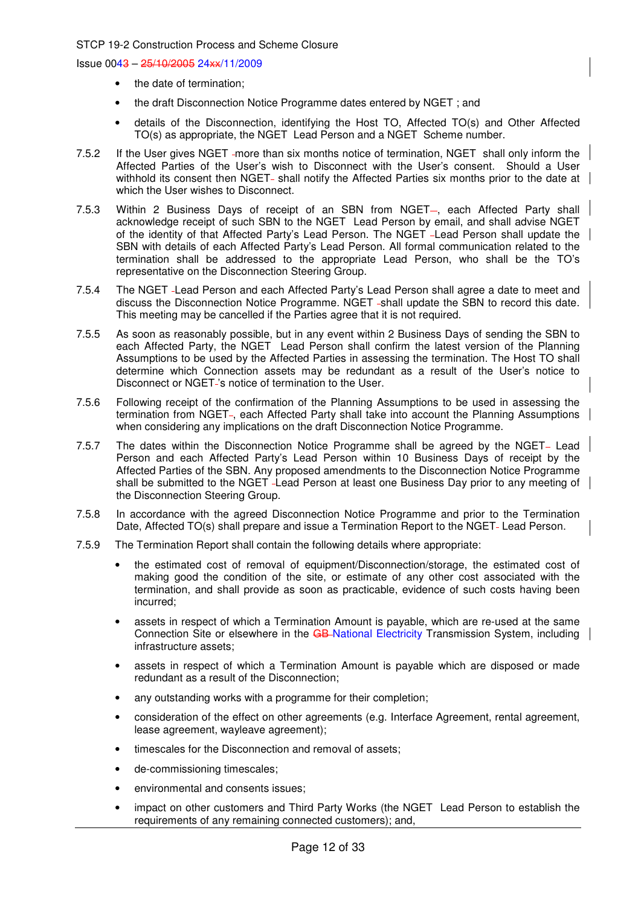- the date of termination;
- the draft Disconnection Notice Programme dates entered by NGET ; and
- details of the Disconnection, identifying the Host TO, Affected TO(s) and Other Affected TO(s) as appropriate, the NGET Lead Person and a NGET Scheme number.
- 7.5.2 If the User gives NGET -more than six months notice of termination, NGET shall only inform the Affected Parties of the User's wish to Disconnect with the User's consent. Should a User withhold its consent then NGET- shall notify the Affected Parties six months prior to the date at which the User wishes to Disconnect.
- 7.5.3 Within 2 Business Days of receipt of an SBN from NGET-, each Affected Party shall acknowledge receipt of such SBN to the NGET Lead Person by email, and shall advise NGET of the identity of that Affected Party's Lead Person. The NGET Lead Person shall update the SBN with details of each Affected Party's Lead Person. All formal communication related to the termination shall be addressed to the appropriate Lead Person, who shall be the TO's representative on the Disconnection Steering Group.
- 7.5.4 The NGET Lead Person and each Affected Party's Lead Person shall agree a date to meet and discuss the Disconnection Notice Programme. NGET -shall update the SBN to record this date. This meeting may be cancelled if the Parties agree that it is not required.
- 7.5.5 As soon as reasonably possible, but in any event within 2 Business Days of sending the SBN to each Affected Party, the NGET Lead Person shall confirm the latest version of the Planning Assumptions to be used by the Affected Parties in assessing the termination. The Host TO shall determine which Connection assets may be redundant as a result of the User's notice to Disconnect or NGET 's notice of termination to the User.
- 7.5.6 Following receipt of the confirmation of the Planning Assumptions to be used in assessing the termination from NGET-, each Affected Party shall take into account the Planning Assumptions when considering any implications on the draft Disconnection Notice Programme.
- 7.5.7 The dates within the Disconnection Notice Programme shall be agreed by the NGET- Lead Person and each Affected Party's Lead Person within 10 Business Days of receipt by the Affected Parties of the SBN. Any proposed amendments to the Disconnection Notice Programme shall be submitted to the NGET Lead Person at least one Business Day prior to any meeting of the Disconnection Steering Group.
- 7.5.8 In accordance with the agreed Disconnection Notice Programme and prior to the Termination Date, Affected TO(s) shall prepare and issue a Termination Report to the NGET-Lead Person.
- 7.5.9 The Termination Report shall contain the following details where appropriate:
	- the estimated cost of removal of equipment/Disconnection/storage, the estimated cost of making good the condition of the site, or estimate of any other cost associated with the termination, and shall provide as soon as practicable, evidence of such costs having been incurred;
	- assets in respect of which a Termination Amount is payable, which are re-used at the same Connection Site or elsewhere in the GB-National Electricity Transmission System, including infrastructure assets;
	- assets in respect of which a Termination Amount is payable which are disposed or made redundant as a result of the Disconnection;
	- any outstanding works with a programme for their completion;
	- consideration of the effect on other agreements (e.g. Interface Agreement, rental agreement, lease agreement, wayleave agreement);
	- timescales for the Disconnection and removal of assets:
	- de-commissioning timescales;
	- environmental and consents issues;
	- impact on other customers and Third Party Works (the NGET Lead Person to establish the requirements of any remaining connected customers); and,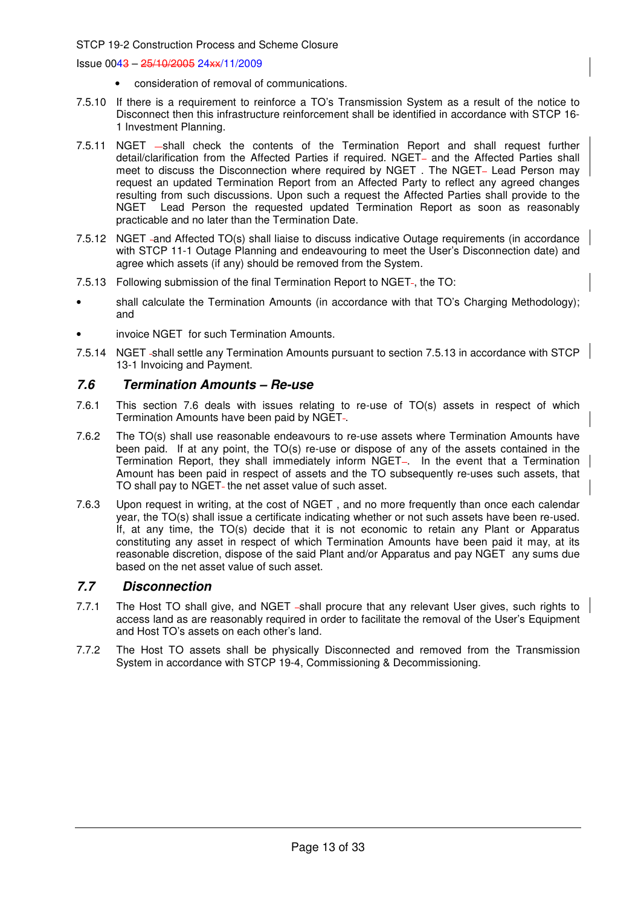Issue 0043 – 25/10/2005 24xx/11/2009

- consideration of removal of communications.
- 7.5.10 If there is a requirement to reinforce a TO's Transmission System as a result of the notice to Disconnect then this infrastructure reinforcement shall be identified in accordance with STCP 16- 1 Investment Planning.
- 7.5.11 NGET -shall check the contents of the Termination Report and shall request further detail/clarification from the Affected Parties if required. NGET- and the Affected Parties shall meet to discuss the Disconnection where required by NGET. The NGET- Lead Person may request an updated Termination Report from an Affected Party to reflect any agreed changes resulting from such discussions. Upon such a request the Affected Parties shall provide to the NGET Lead Person the requested updated Termination Report as soon as reasonably practicable and no later than the Termination Date.
- 7.5.12 NGET and Affected TO(s) shall liaise to discuss indicative Outage requirements (in accordance with STCP 11-1 Outage Planning and endeavouring to meet the User's Disconnection date) and agree which assets (if any) should be removed from the System.
- 7.5.13 Following submission of the final Termination Report to NGET-, the TO:
- shall calculate the Termination Amounts (in accordance with that TO's Charging Methodology); and
- invoice NGET for such Termination Amounts.
- 7.5.14 NGET -shall settle any Termination Amounts pursuant to section 7.5.13 in accordance with STCP 13-1 Invoicing and Payment.

## **7.6 Termination Amounts – Re-use**

- 7.6.1 This section 7.6 deals with issues relating to re-use of TO(s) assets in respect of which Termination Amounts have been paid by NGET-.
- 7.6.2 The TO(s) shall use reasonable endeavours to re-use assets where Termination Amounts have been paid. If at any point, the TO(s) re-use or dispose of any of the assets contained in the Termination Report, they shall immediately inform NGET-. In the event that a Termination Amount has been paid in respect of assets and the TO subsequently re-uses such assets, that TO shall pay to NGET- the net asset value of such asset.
- 7.6.3 Upon request in writing, at the cost of NGET , and no more frequently than once each calendar year, the TO(s) shall issue a certificate indicating whether or not such assets have been re-used. If, at any time, the TO(s) decide that it is not economic to retain any Plant or Apparatus constituting any asset in respect of which Termination Amounts have been paid it may, at its reasonable discretion, dispose of the said Plant and/or Apparatus and pay NGET any sums due based on the net asset value of such asset.

## **7.7 Disconnection**

- 7.7.1 The Host TO shall give, and NGET -shall procure that any relevant User gives, such rights to access land as are reasonably required in order to facilitate the removal of the User's Equipment and Host TO's assets on each other's land.
- 7.7.2 The Host TO assets shall be physically Disconnected and removed from the Transmission System in accordance with STCP 19-4, Commissioning & Decommissioning.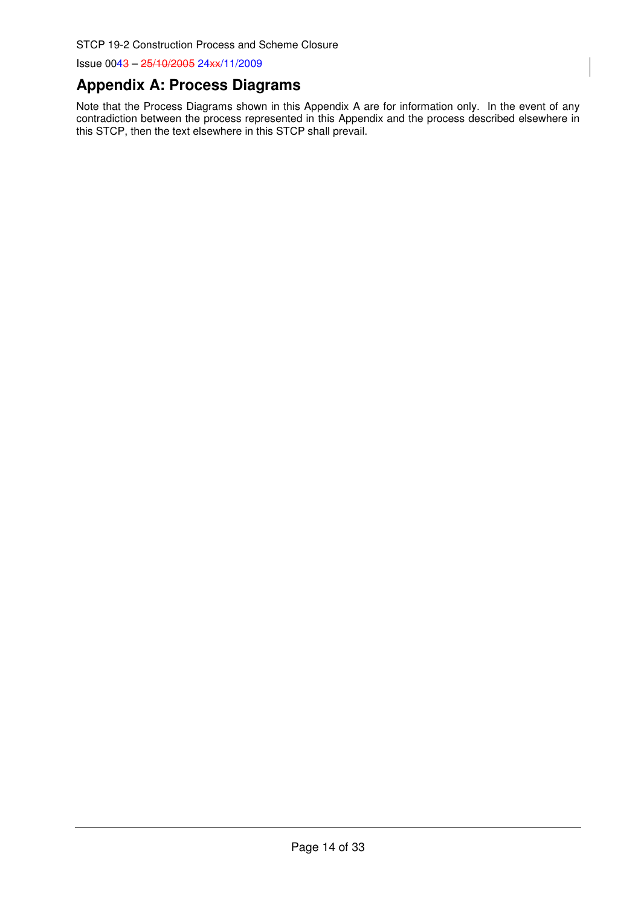## **Appendix A: Process Diagrams**

Note that the Process Diagrams shown in this Appendix A are for information only. In the event of any contradiction between the process represented in this Appendix and the process described elsewhere in this STCP, then the text elsewhere in this STCP shall prevail.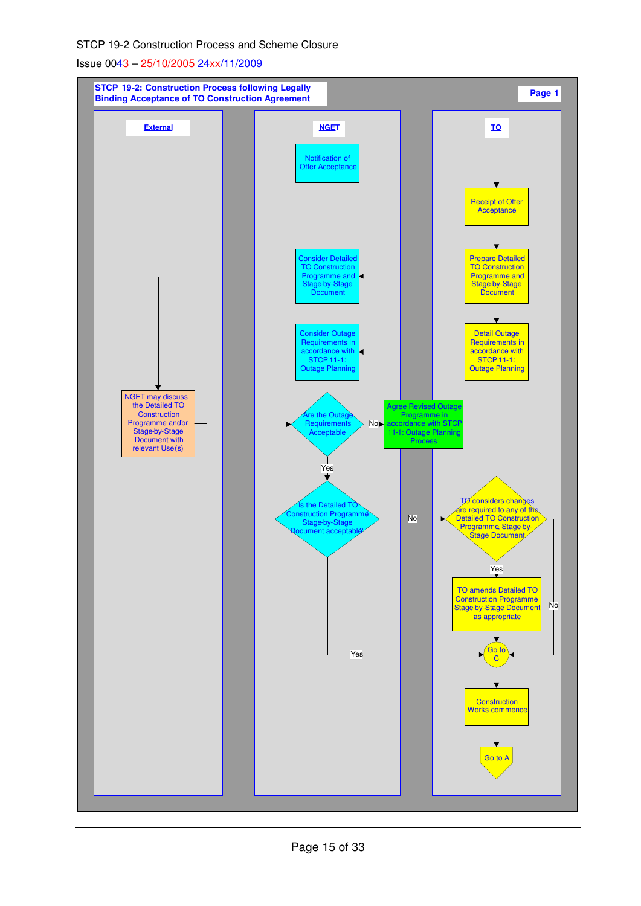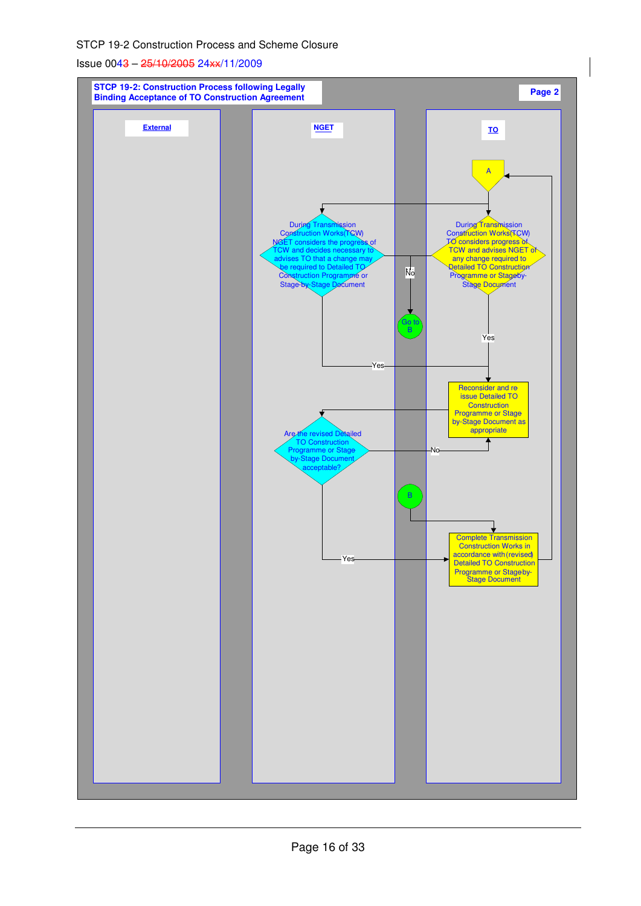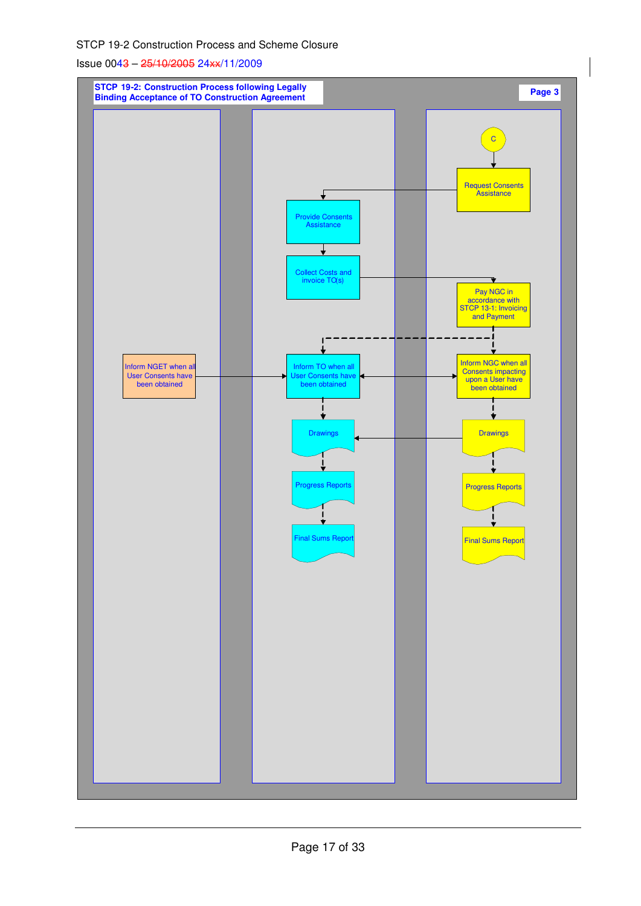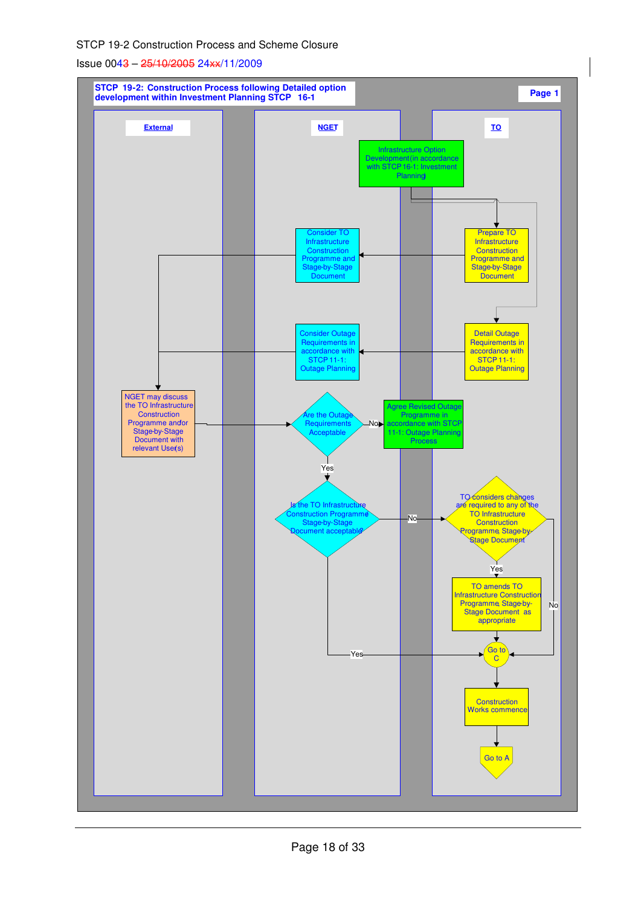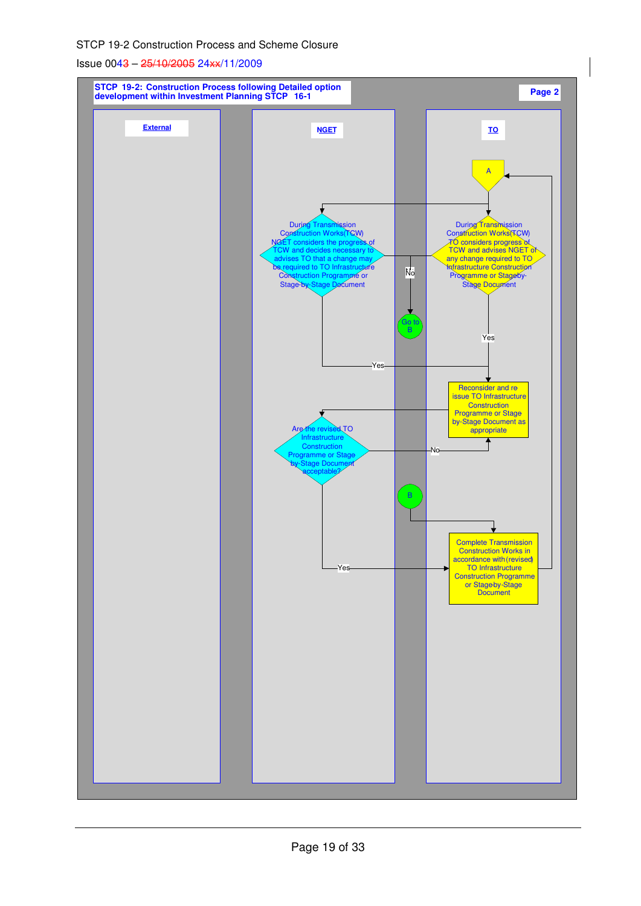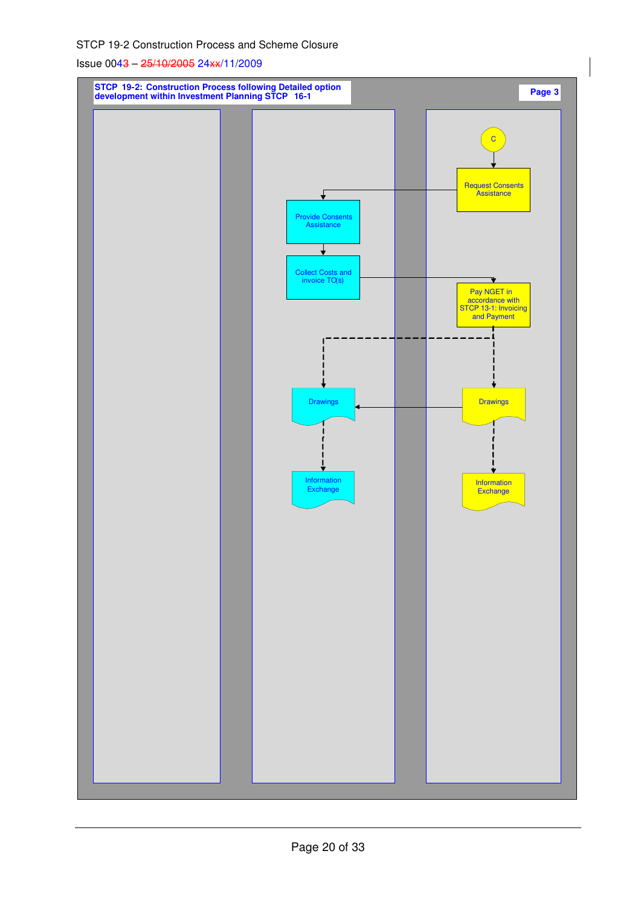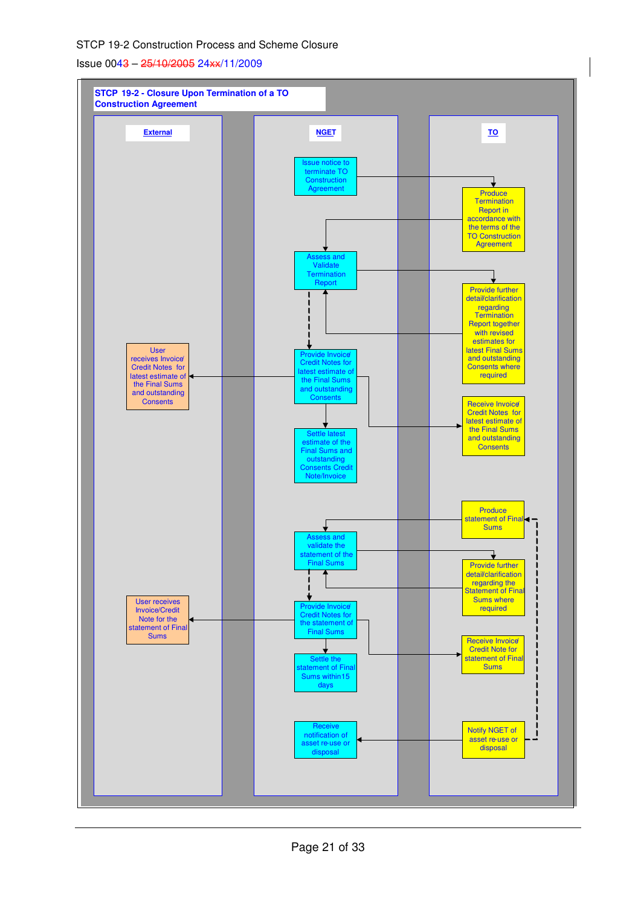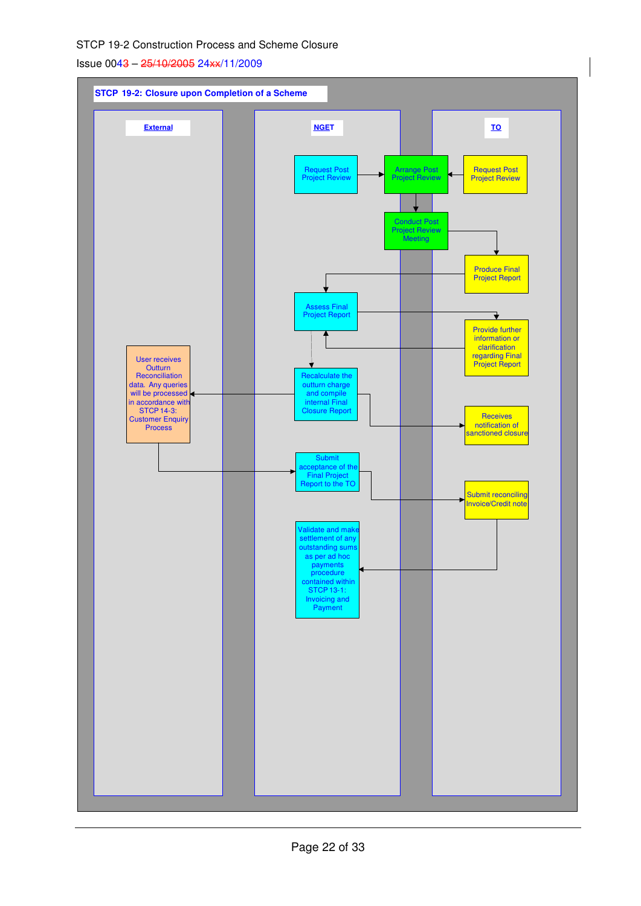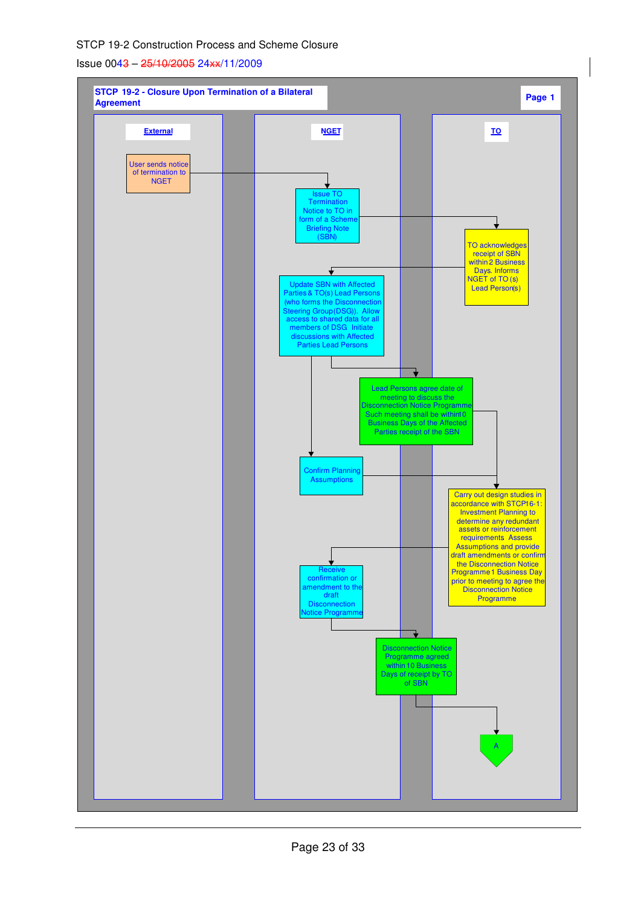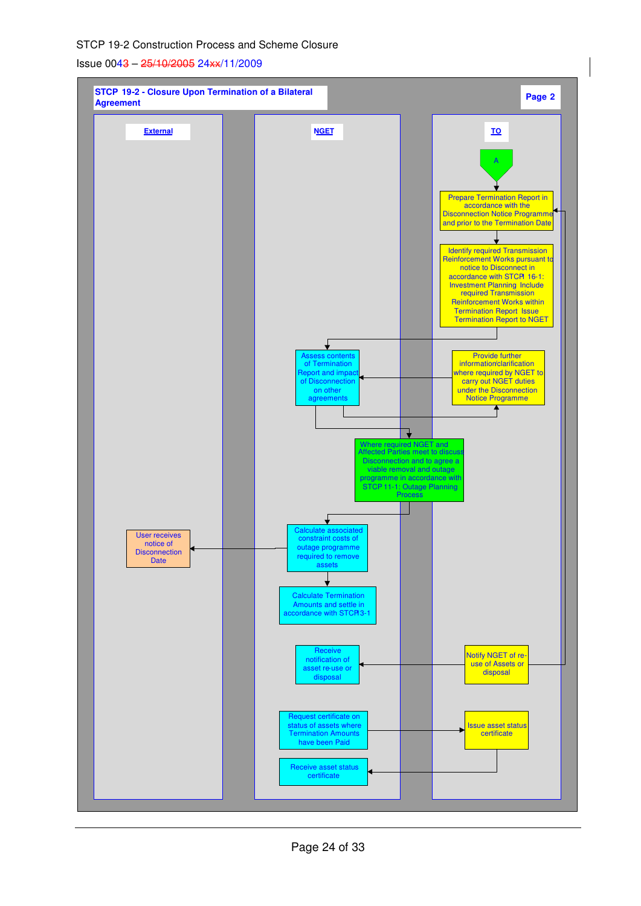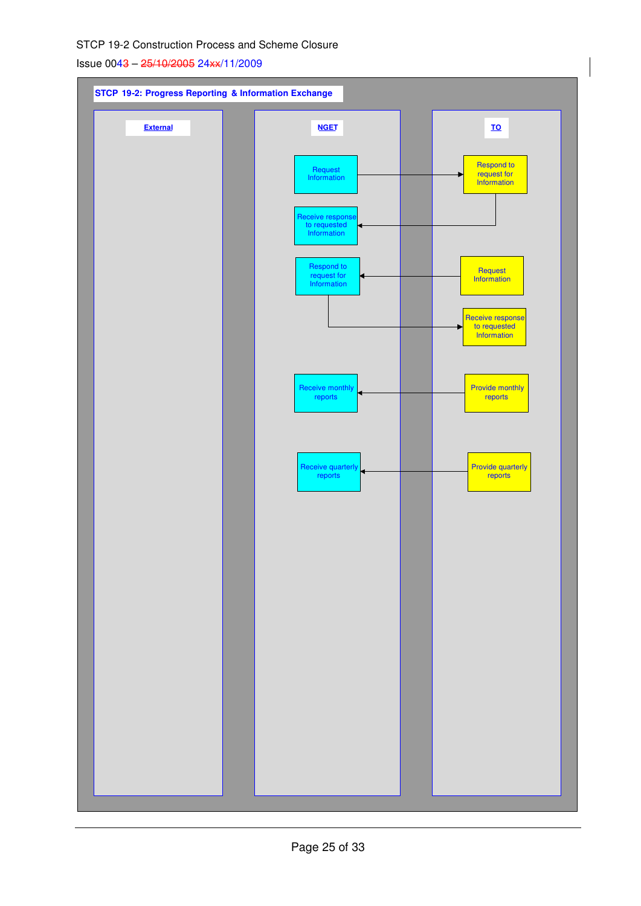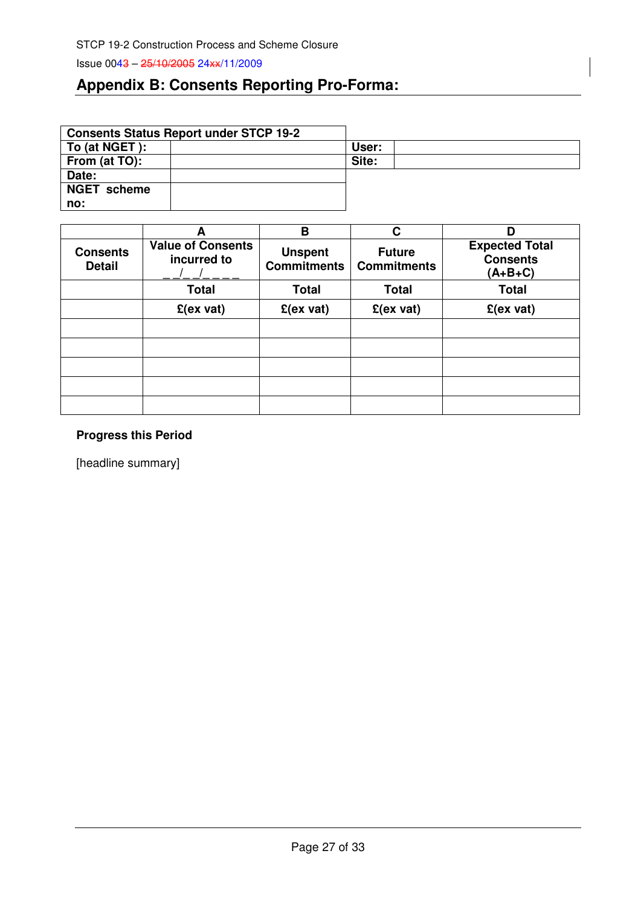## **Appendix B: Consents Reporting Pro-Forma:**

|                    | <b>Consents Status Report under STCP 19-2</b> |       |
|--------------------|-----------------------------------------------|-------|
| To (at NGET):      |                                               | User: |
| From (at TO):      |                                               | Site: |
| Date:              |                                               |       |
| <b>NGET</b> scheme |                                               |       |
| no:                |                                               |       |

|                                  | А                                       | в                                    | C                                   | D                                                     |
|----------------------------------|-----------------------------------------|--------------------------------------|-------------------------------------|-------------------------------------------------------|
| <b>Consents</b><br><b>Detail</b> | <b>Value of Consents</b><br>incurred to | <b>Unspent</b><br><b>Commitments</b> | <b>Future</b><br><b>Commitments</b> | <b>Expected Total</b><br><b>Consents</b><br>$(A+B+C)$ |
|                                  | <b>Total</b>                            | <b>Total</b>                         | <b>Total</b>                        | <b>Total</b>                                          |
|                                  | $E(ex\ vat)$                            | $E(ex\ vat)$                         | $E(ex\ vat)$                        | $E(ex\ vat)$                                          |
|                                  |                                         |                                      |                                     |                                                       |
|                                  |                                         |                                      |                                     |                                                       |
|                                  |                                         |                                      |                                     |                                                       |
|                                  |                                         |                                      |                                     |                                                       |
|                                  |                                         |                                      |                                     |                                                       |

## **Progress this Period**

[headline summary]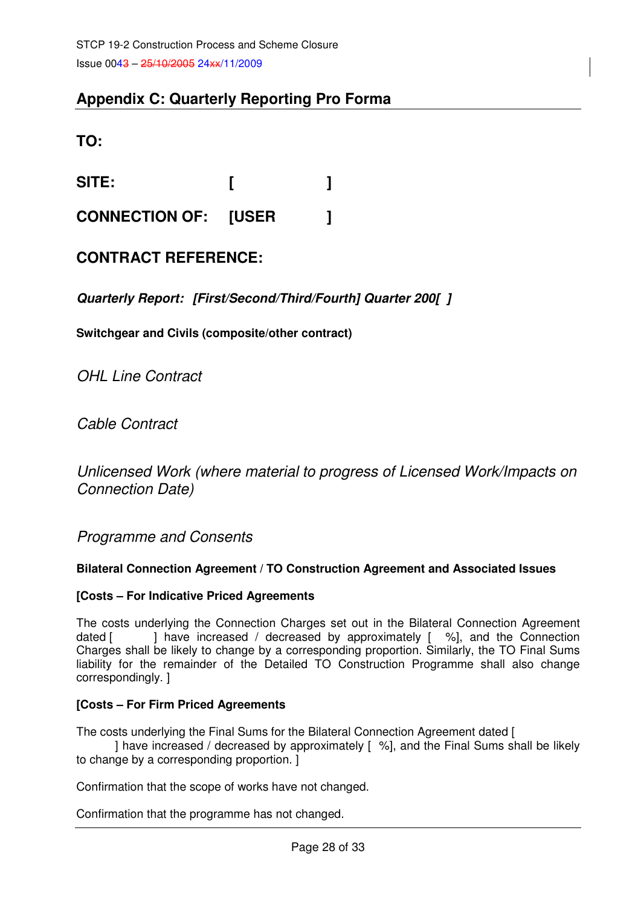## **Appendix C: Quarterly Reporting Pro Forma**

**TO:** 

**SITE: [ ]** 

**CONNECTION OF: [USER ]** 

## **CONTRACT REFERENCE:**

**Quarterly Report: [First/Second/Third/Fourth] Quarter 200[ ]** 

**Switchgear and Civils (composite/other contract)** 

OHL Line Contract

Cable Contract

Unlicensed Work (where material to progress of Licensed Work/Impacts on Connection Date)

Programme and Consents

## **Bilateral Connection Agreement / TO Construction Agreement and Associated Issues**

## **[Costs – For Indicative Priced Agreements**

The costs underlying the Connection Charges set out in the Bilateral Connection Agreement dated  $\lceil$   $\rceil$  have increased / decreased by approximately  $\lceil$  %, and the Connection Charges shall be likely to change by a corresponding proportion. Similarly, the TO Final Sums liability for the remainder of the Detailed TO Construction Programme shall also change correspondingly. ]

## **[Costs – For Firm Priced Agreements**

The costs underlying the Final Sums for the Bilateral Connection Agreement dated [

 ] have increased / decreased by approximately [ %], and the Final Sums shall be likely to change by a corresponding proportion. ]

Confirmation that the scope of works have not changed.

Confirmation that the programme has not changed.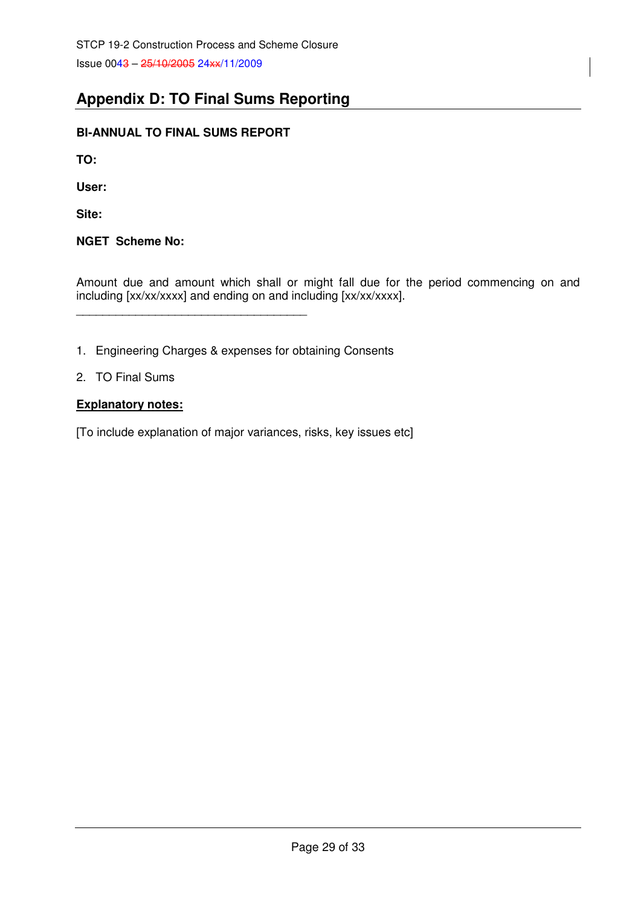## **Appendix D: TO Final Sums Reporting**

## **BI-ANNUAL TO FINAL SUMS REPORT**

\_\_\_\_\_\_\_\_\_\_\_\_\_\_\_\_\_\_\_\_\_\_\_\_\_\_\_\_\_\_\_\_\_\_\_

**TO:** 

**User:** 

**Site:** 

## **NGET Scheme No:**

Amount due and amount which shall or might fall due for the period commencing on and including [xx/xx/xxxx] and ending on and including [xx/xx/xxxx].

1. Engineering Charges & expenses for obtaining Consents

## 2. TO Final Sums

## **Explanatory notes:**

[To include explanation of major variances, risks, key issues etc]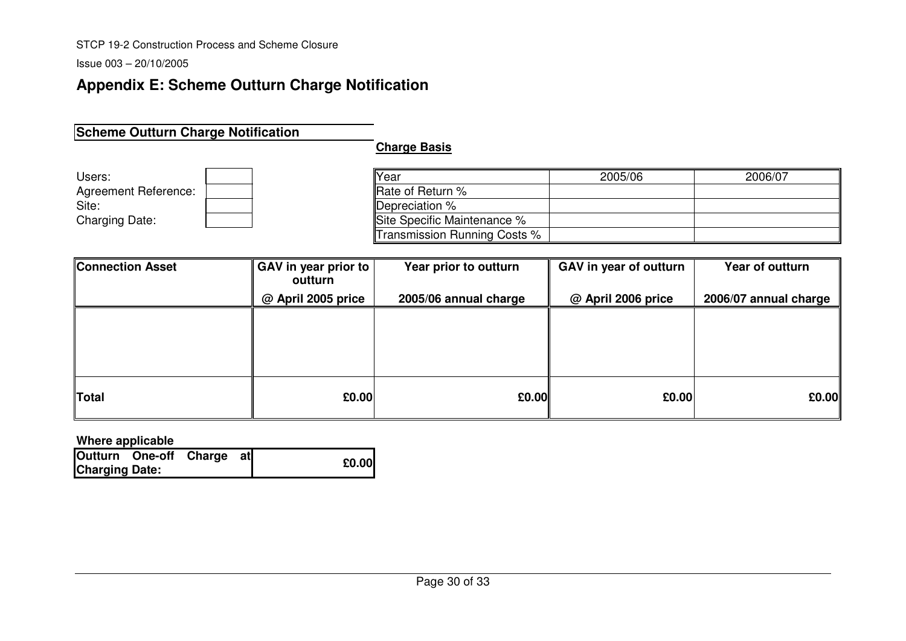Issue 003 – 20/10/2005

## **Appendix E: Scheme Outturn Charge Notification**

## **Scheme Outturn Charge Notification**

**Charge Basis**

| Users:                | Year                         | 2005/06 | 2006/07 |
|-----------------------|------------------------------|---------|---------|
| Agreement Reference:  | Rate of Return %             |         |         |
| Site:                 | Depreciation %               |         |         |
| <b>Charging Date:</b> | Site Specific Maintenance %  |         |         |
|                       | Transmission Running Costs % |         |         |

| <b>Connection Asset</b> | GAV in year prior to<br>outturn | Year prior to outturn | GAV in year of outturn | Year of outturn       |
|-------------------------|---------------------------------|-----------------------|------------------------|-----------------------|
|                         | @ April 2005 price              | 2005/06 annual charge | @ April 2006 price     | 2006/07 annual charge |
|                         |                                 |                       |                        |                       |
|                         |                                 |                       |                        |                       |
|                         |                                 |                       |                        |                       |
|                         |                                 |                       |                        |                       |
| Total                   | £0.00                           | E0.00                 | £0.00                  | £0.00                 |

**Where applicable** 

|                       | Outturn One-off Charge at |  |       |
|-----------------------|---------------------------|--|-------|
| <b>Charging Date:</b> |                           |  | £0.00 |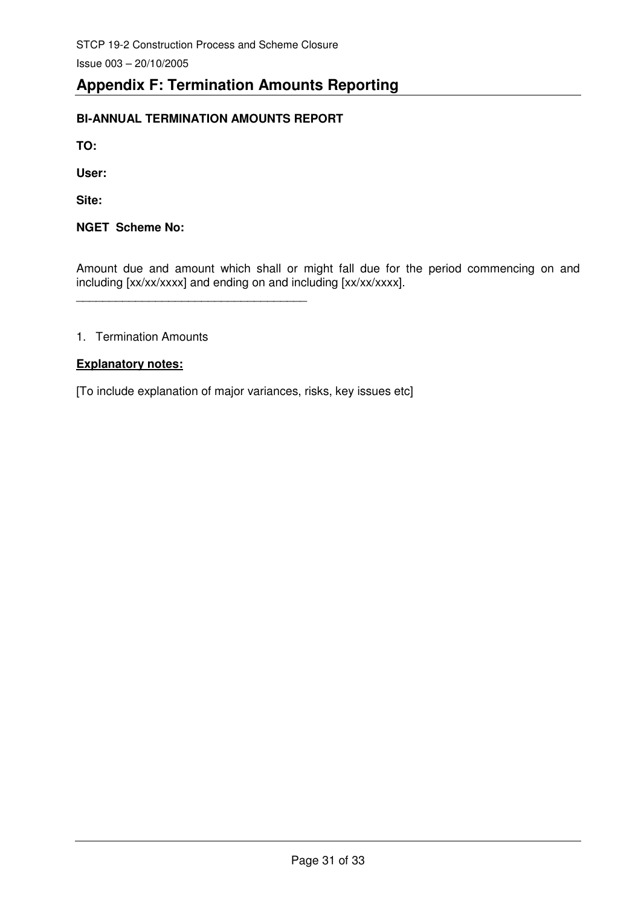## **Appendix F: Termination Amounts Reporting**

## **BI-ANNUAL TERMINATION AMOUNTS REPORT**

\_\_\_\_\_\_\_\_\_\_\_\_\_\_\_\_\_\_\_\_\_\_\_\_\_\_\_\_\_\_\_\_\_\_\_

**TO:** 

**User:** 

**Site:** 

**NGET Scheme No:** 

Amount due and amount which shall or might fall due for the period commencing on and including [xx/xx/xxxx] and ending on and including [xx/xx/xxxx].

## 1. Termination Amounts

### **Explanatory notes:**

[To include explanation of major variances, risks, key issues etc]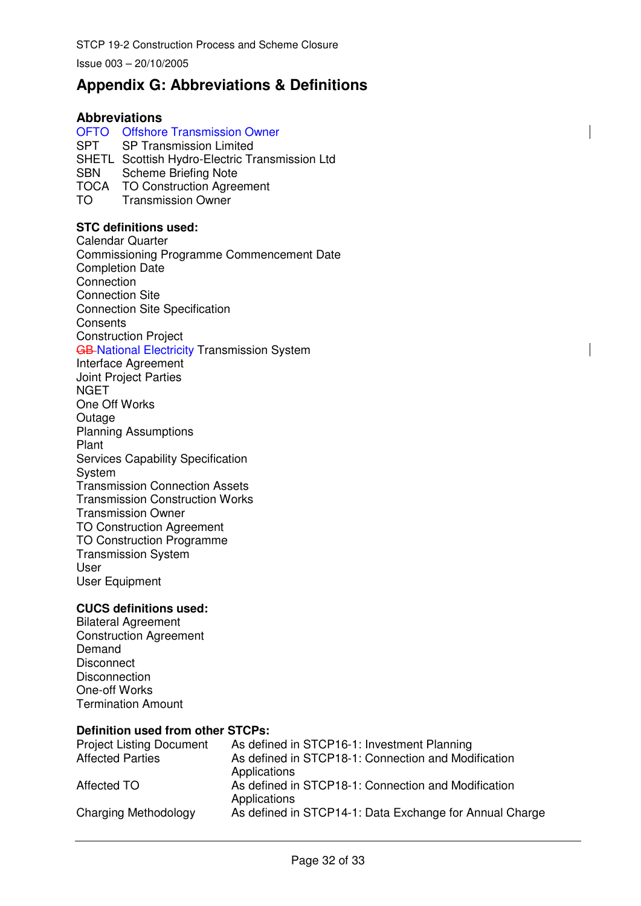Issue 003 – 20/10/2005

## **Appendix G: Abbreviations & Definitions**

### **Abbreviations**

## OFTO Offshore Transmission Owner

SPT SP Transmission Limited

SHETL Scottish Hydro-Electric Transmission Ltd

SBN Scheme Briefing Note

- TOCA TO Construction Agreement
- TO Transmission Owner

#### **STC definitions used:**

Calendar Quarter Commissioning Programme Commencement Date Completion Date **Connection** Connection Site Connection Site Specification **Consents** Construction Project GB-National Electricity Transmission System

Interface Agreement Joint Project Parties **NGET** One Off Works Outage Planning Assumptions Plant Services Capability Specification System Transmission Connection Assets Transmission Construction Works Transmission Owner TO Construction Agreement TO Construction Programme Transmission System User User Equipment

#### **CUCS definitions used:**

Bilateral Agreement Construction Agreement Demand **Disconnect Disconnection** One-off Works Termination Amount

#### **Definition used from other STCPs:**

| <b>Project Listing Document</b> | As defined in STCP16-1: Investment Planning                         |
|---------------------------------|---------------------------------------------------------------------|
| <b>Affected Parties</b>         | As defined in STCP18-1: Connection and Modification<br>Applications |
| Affected TO                     | As defined in STCP18-1: Connection and Modification<br>Applications |
| Charging Methodology            | As defined in STCP14-1: Data Exchange for Annual Charge             |